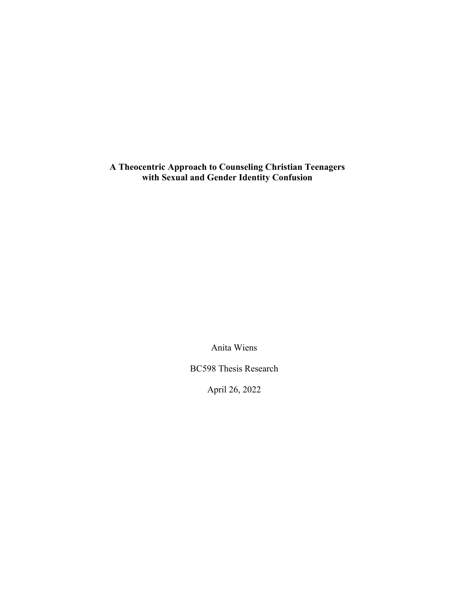**A Theocentric Approach to Counseling Christian Teenagers with Sexual and Gender Identity Confusion**

Anita Wiens

BC598 Thesis Research

April 26, 2022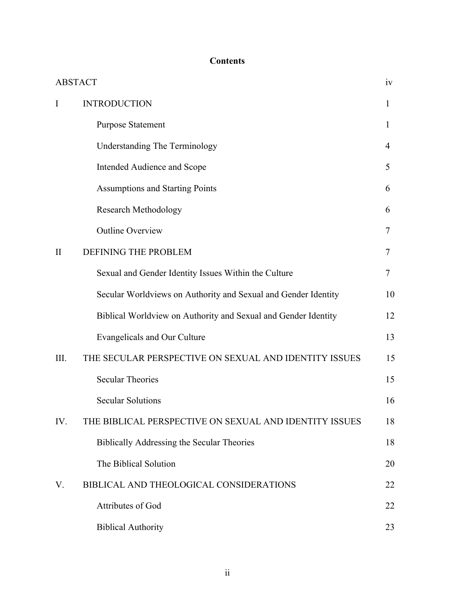# **Contents**

| <b>ABSTACT</b> |                                                                |              |
|----------------|----------------------------------------------------------------|--------------|
| I              | <b>INTRODUCTION</b>                                            | $\mathbf{1}$ |
|                | <b>Purpose Statement</b>                                       | $\mathbf{1}$ |
|                | <b>Understanding The Terminology</b>                           | 4            |
|                | Intended Audience and Scope                                    | 5            |
|                | <b>Assumptions and Starting Points</b>                         | 6            |
|                | <b>Research Methodology</b>                                    | 6            |
|                | <b>Outline Overview</b>                                        | 7            |
| $\mathbf{I}$   | DEFINING THE PROBLEM                                           | 7            |
|                | Sexual and Gender Identity Issues Within the Culture           | 7            |
|                | Secular Worldviews on Authority and Sexual and Gender Identity | 10           |
|                | Biblical Worldview on Authority and Sexual and Gender Identity | 12           |
|                | Evangelicals and Our Culture                                   | 13           |
| Ш.             | THE SECULAR PERSPECTIVE ON SEXUAL AND IDENTITY ISSUES          | 15           |
|                | <b>Secular Theories</b>                                        | 15           |
|                | <b>Secular Solutions</b>                                       | 16           |
| IV.            | THE BIBLICAL PERSPECTIVE ON SEXUAL AND IDENTITY ISSUES         | 18           |
|                | Biblically Addressing the Secular Theories                     | 18           |
|                | The Biblical Solution                                          | 20           |
| V.             | BIBLICAL AND THEOLOGICAL CONSIDERATIONS                        | 22           |
|                | Attributes of God                                              | 22           |
|                | <b>Biblical Authority</b>                                      | 23           |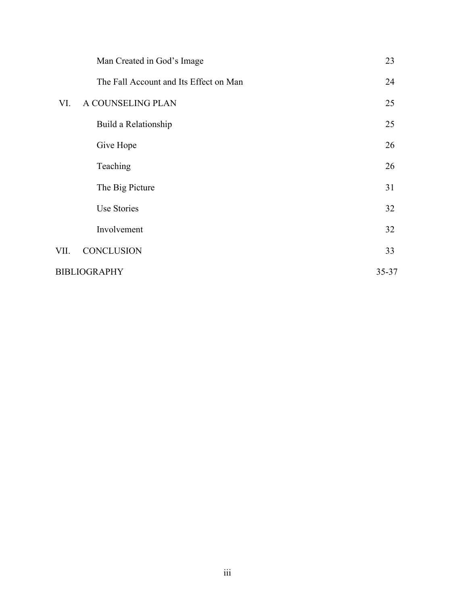|                     | Man Created in God's Image             | 23    |
|---------------------|----------------------------------------|-------|
|                     | The Fall Account and Its Effect on Man | 24    |
| VI.                 | A COUNSELING PLAN                      | 25    |
|                     | Build a Relationship                   | 25    |
|                     | Give Hope                              | 26    |
|                     | Teaching                               | 26    |
|                     | The Big Picture                        | 31    |
|                     | <b>Use Stories</b>                     | 32    |
|                     | Involvement                            | 32    |
| VII.                | <b>CONCLUSION</b>                      | 33    |
| <b>BIBLIOGRAPHY</b> |                                        | 35-37 |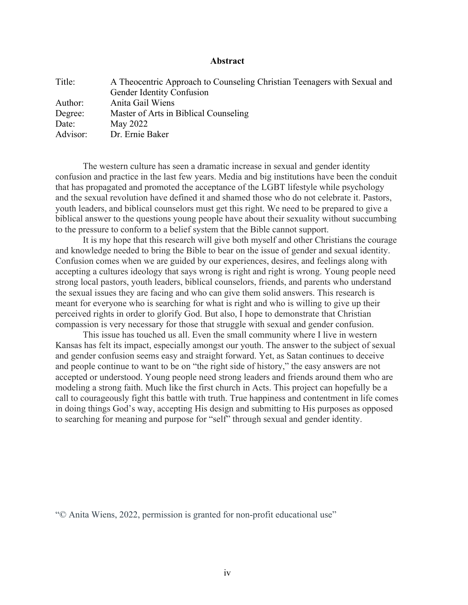# **Abstract**

| A Theocentric Approach to Counseling Christian Teenagers with Sexual and<br><b>Gender Identity Confusion</b> |
|--------------------------------------------------------------------------------------------------------------|
| Anita Gail Wiens                                                                                             |
| Master of Arts in Biblical Counseling                                                                        |
| May 2022                                                                                                     |
| Dr. Ernie Baker                                                                                              |
|                                                                                                              |

The western culture has seen a dramatic increase in sexual and gender identity confusion and practice in the last few years. Media and big institutions have been the conduit that has propagated and promoted the acceptance of the LGBT lifestyle while psychology and the sexual revolution have defined it and shamed those who do not celebrate it. Pastors, youth leaders, and biblical counselors must get this right. We need to be prepared to give a biblical answer to the questions young people have about their sexuality without succumbing to the pressure to conform to a belief system that the Bible cannot support.

It is my hope that this research will give both myself and other Christians the courage and knowledge needed to bring the Bible to bear on the issue of gender and sexual identity. Confusion comes when we are guided by our experiences, desires, and feelings along with accepting a cultures ideology that says wrong is right and right is wrong. Young people need strong local pastors, youth leaders, biblical counselors, friends, and parents who understand the sexual issues they are facing and who can give them solid answers. This research is meant for everyone who is searching for what is right and who is willing to give up their perceived rights in order to glorify God. But also, I hope to demonstrate that Christian compassion is very necessary for those that struggle with sexual and gender confusion.

This issue has touched us all. Even the small community where I live in western Kansas has felt its impact, especially amongst our youth. The answer to the subject of sexual and gender confusion seems easy and straight forward. Yet, as Satan continues to deceive and people continue to want to be on "the right side of history," the easy answers are not accepted or understood. Young people need strong leaders and friends around them who are modeling a strong faith. Much like the first church in Acts. This project can hopefully be a call to courageously fight this battle with truth. True happiness and contentment in life comes in doing things God's way, accepting His design and submitting to His purposes as opposed to searching for meaning and purpose for "self" through sexual and gender identity.

"© Anita Wiens, 2022, permission is granted for non-profit educational use"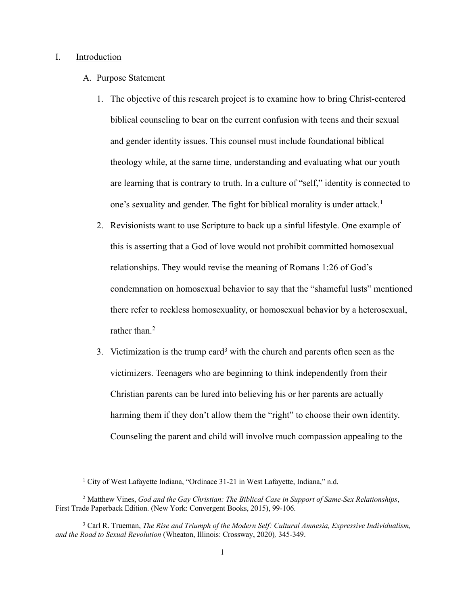# I. Introduction

- A. Purpose Statement
	- 1. The objective of this research project is to examine how to bring Christ-centered biblical counseling to bear on the current confusion with teens and their sexual and gender identity issues. This counsel must include foundational biblical theology while, at the same time, understanding and evaluating what our youth are learning that is contrary to truth. In a culture of "self," identity is connected to one's sexuality and gender. The fight for biblical morality is under attack. 1
	- 2. Revisionists want to use Scripture to back up a sinful lifestyle. One example of this is asserting that a God of love would not prohibit committed homosexual relationships. They would revise the meaning of Romans 1:26 of God's condemnation on homosexual behavior to say that the "shameful lusts" mentioned there refer to reckless homosexuality, or homosexual behavior by a heterosexual, rather than.<sup>2</sup>
	- 3. Victimization is the trump card<sup>3</sup> with the church and parents often seen as the victimizers. Teenagers who are beginning to think independently from their Christian parents can be lured into believing his or her parents are actually harming them if they don't allow them the "right" to choose their own identity. Counseling the parent and child will involve much compassion appealing to the

<sup>&</sup>lt;sup>1</sup> City of West Lafayette Indiana, "Ordinace 31-21 in West Lafayette, Indiana," n.d.

<sup>2</sup> Matthew Vines, *God and the Gay Christian: The Biblical Case in Support of Same-Sex Relationships*, First Trade Paperback Edition. (New York: Convergent Books, 2015), 99-106.

<sup>3</sup> Carl R. Trueman, *The Rise and Triumph of the Modern Self: Cultural Amnesia, Expressive Individualism, and the Road to Sexual Revolution* (Wheaton, Illinois: Crossway, 2020)*,* 345-349.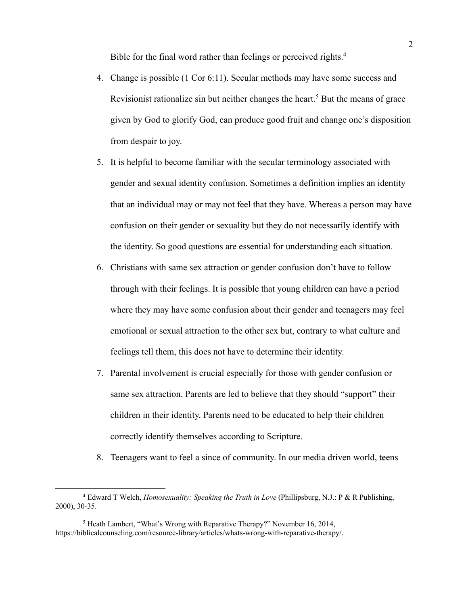Bible for the final word rather than feelings or perceived rights.<sup>4</sup>

- 4. Change is possible (1 Cor 6:11). Secular methods may have some success and Revisionist rationalize sin but neither changes the heart.<sup>5</sup> But the means of grace given by God to glorify God, can produce good fruit and change one's disposition from despair to joy.
- 5. It is helpful to become familiar with the secular terminology associated with gender and sexual identity confusion. Sometimes a definition implies an identity that an individual may or may not feel that they have. Whereas a person may have confusion on their gender or sexuality but they do not necessarily identify with the identity. So good questions are essential for understanding each situation.
- 6. Christians with same sex attraction or gender confusion don't have to follow through with their feelings. It is possible that young children can have a period where they may have some confusion about their gender and teenagers may feel emotional or sexual attraction to the other sex but, contrary to what culture and feelings tell them, this does not have to determine their identity.
- 7. Parental involvement is crucial especially for those with gender confusion or same sex attraction. Parents are led to believe that they should "support" their children in their identity. Parents need to be educated to help their children correctly identify themselves according to Scripture.
- 8. Teenagers want to feel a since of community. In our media driven world, teens

<sup>4</sup> Edward T Welch, *Homosexuality: Speaking the Truth in Love* (Phillipsburg, N.J.: P & R Publishing, 2000), 30-35.

<sup>5</sup> Heath Lambert, "What's Wrong with Reparative Therapy?" November 16, 2014, https://biblicalcounseling.com/resource-library/articles/whats-wrong-with-reparative-therapy/.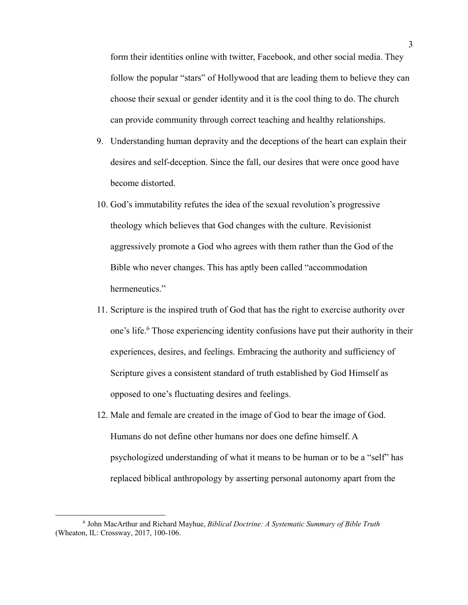form their identities online with twitter, Facebook, and other social media. They follow the popular "stars" of Hollywood that are leading them to believe they can choose their sexual or gender identity and it is the cool thing to do. The church can provide community through correct teaching and healthy relationships.

- 9. Understanding human depravity and the deceptions of the heart can explain their desires and self-deception. Since the fall, our desires that were once good have become distorted.
- 10. God's immutability refutes the idea of the sexual revolution's progressive theology which believes that God changes with the culture. Revisionist aggressively promote a God who agrees with them rather than the God of the Bible who never changes. This has aptly been called "accommodation hermeneutics."
- 11. Scripture is the inspired truth of God that has the right to exercise authority over one's life.6 Those experiencing identity confusions have put their authority in their experiences, desires, and feelings. Embracing the authority and sufficiency of Scripture gives a consistent standard of truth established by God Himself as opposed to one's fluctuating desires and feelings.
- 12. Male and female are created in the image of God to bear the image of God. Humans do not define other humans nor does one define himself. A psychologized understanding of what it means to be human or to be a "self" has replaced biblical anthropology by asserting personal autonomy apart from the

<sup>6</sup> John MacArthur and Richard Mayhue, *Biblical Doctrine: A Systematic Summary of Bible Truth* (Wheaton, IL: Crossway, 2017, 100-106.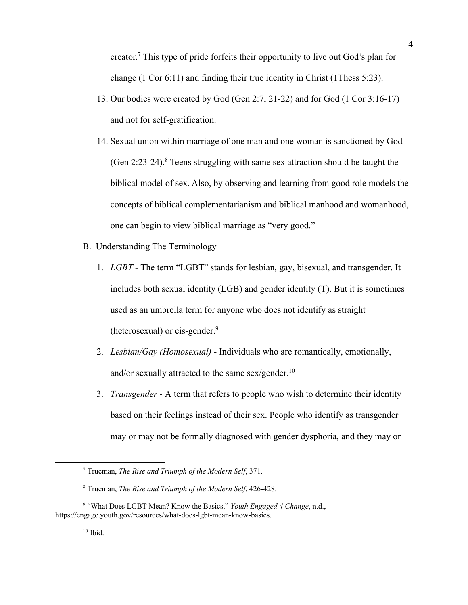creator.7 This type of pride forfeits their opportunity to live out God's plan for change (1 Cor 6:11) and finding their true identity in Christ (1Thess 5:23).

- 13. Our bodies were created by God (Gen 2:7, 21-22) and for God (1 Cor 3:16-17) and not for self-gratification.
- 14. Sexual union within marriage of one man and one woman is sanctioned by God (Gen  $2:23-24$ ).<sup>8</sup> Teens struggling with same sex attraction should be taught the biblical model of sex. Also, by observing and learning from good role models the concepts of biblical complementarianism and biblical manhood and womanhood, one can begin to view biblical marriage as "very good."
- B. Understanding The Terminology
	- 1. *LGBT* The term "LGBT" stands for lesbian, gay, bisexual, and transgender. It includes both sexual identity (LGB) and gender identity (T). But it is sometimes used as an umbrella term for anyone who does not identify as straight (heterosexual) or cis-gender.<sup>9</sup>
	- 2. *Lesbian/Gay (Homosexual)* Individuals who are romantically, emotionally, and/or sexually attracted to the same sex/gender.<sup>10</sup>
	- 3. *Transgender* A term that refers to people who wish to determine their identity based on their feelings instead of their sex. People who identify as transgender may or may not be formally diagnosed with gender dysphoria, and they may or

<sup>7</sup> Trueman, *The Rise and Triumph of the Modern Self*, 371.

<sup>8</sup> Trueman, *The Rise and Triumph of the Modern Self*, 426-428.

<sup>9</sup> "What Does LGBT Mean? Know the Basics," *Youth Engaged 4 Change*, n.d., https://engage.youth.gov/resources/what-does-lgbt-mean-know-basics.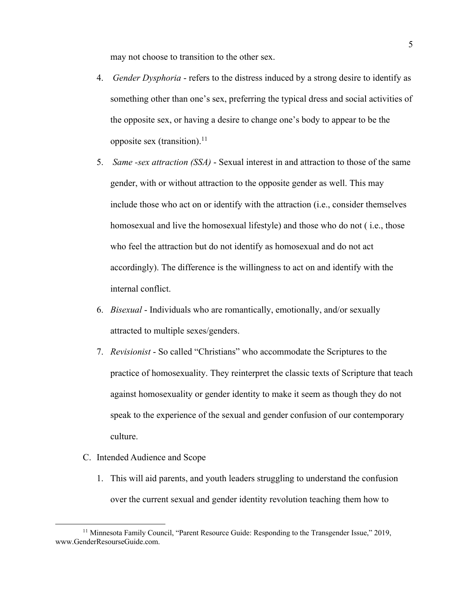may not choose to transition to the other sex.

- 4. *Gender Dysphoria* refers to the distress induced by a strong desire to identify as something other than one's sex, preferring the typical dress and social activities of the opposite sex, or having a desire to change one's body to appear to be the opposite sex (transition). $11$
- 5. *Same -sex attraction (SSA)* Sexual interest in and attraction to those of the same gender, with or without attraction to the opposite gender as well. This may include those who act on or identify with the attraction (i.e., consider themselves homosexual and live the homosexual lifestyle) and those who do not ( i.e., those who feel the attraction but do not identify as homosexual and do not act accordingly). The difference is the willingness to act on and identify with the internal conflict.
- 6. *Bisexual* Individuals who are romantically, emotionally, and/or sexually attracted to multiple sexes/genders.
- 7. *Revisionist* So called "Christians" who accommodate the Scriptures to the practice of homosexuality. They reinterpret the classic texts of Scripture that teach against homosexuality or gender identity to make it seem as though they do not speak to the experience of the sexual and gender confusion of our contemporary culture.
- C. Intended Audience and Scope
	- 1. This will aid parents, and youth leaders struggling to understand the confusion over the current sexual and gender identity revolution teaching them how to

<sup>&</sup>lt;sup>11</sup> Minnesota Family Council, "Parent Resource Guide: Responding to the Transgender Issue," 2019, www.GenderResourseGuide.com.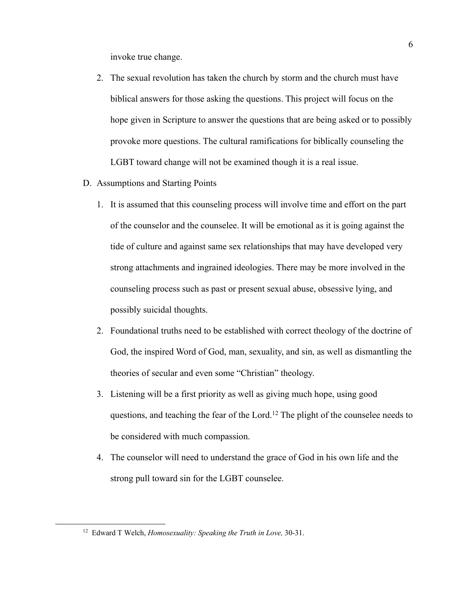invoke true change.

- 2. The sexual revolution has taken the church by storm and the church must have biblical answers for those asking the questions. This project will focus on the hope given in Scripture to answer the questions that are being asked or to possibly provoke more questions. The cultural ramifications for biblically counseling the LGBT toward change will not be examined though it is a real issue.
- D. Assumptions and Starting Points
	- 1. It is assumed that this counseling process will involve time and effort on the part of the counselor and the counselee. It will be emotional as it is going against the tide of culture and against same sex relationships that may have developed very strong attachments and ingrained ideologies. There may be more involved in the counseling process such as past or present sexual abuse, obsessive lying, and possibly suicidal thoughts.
	- 2. Foundational truths need to be established with correct theology of the doctrine of God, the inspired Word of God, man, sexuality, and sin, as well as dismantling the theories of secular and even some "Christian" theology.
	- 3. Listening will be a first priority as well as giving much hope, using good questions, and teaching the fear of the Lord.<sup>12</sup> The plight of the counselee needs to be considered with much compassion.
	- 4. The counselor will need to understand the grace of God in his own life and the strong pull toward sin for the LGBT counselee.

<sup>12</sup> Edward T Welch, *Homosexuality: Speaking the Truth in Love,* 30-31.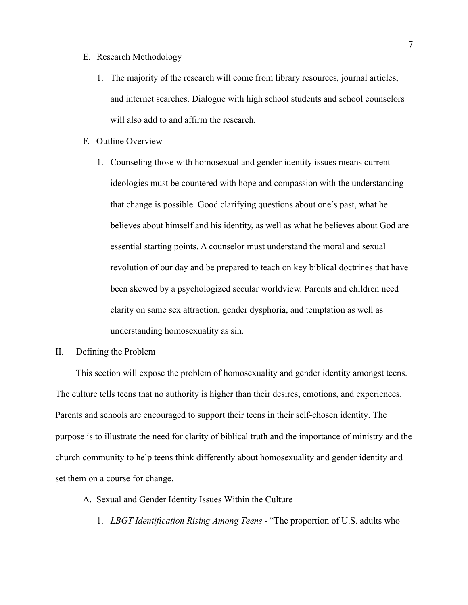# E. Research Methodology

- 1. The majority of the research will come from library resources, journal articles, and internet searches. Dialogue with high school students and school counselors will also add to and affirm the research.
- F. Outline Overview
	- 1. Counseling those with homosexual and gender identity issues means current ideologies must be countered with hope and compassion with the understanding that change is possible. Good clarifying questions about one's past, what he believes about himself and his identity, as well as what he believes about God are essential starting points. A counselor must understand the moral and sexual revolution of our day and be prepared to teach on key biblical doctrines that have been skewed by a psychologized secular worldview. Parents and children need clarity on same sex attraction, gender dysphoria, and temptation as well as understanding homosexuality as sin.

# II. Defining the Problem

This section will expose the problem of homosexuality and gender identity amongst teens. The culture tells teens that no authority is higher than their desires, emotions, and experiences. Parents and schools are encouraged to support their teens in their self-chosen identity. The purpose is to illustrate the need for clarity of biblical truth and the importance of ministry and the church community to help teens think differently about homosexuality and gender identity and set them on a course for change.

- A. Sexual and Gender Identity Issues Within the Culture
	- 1. *LBGT Identification Rising Among Teens* "The proportion of U.S. adults who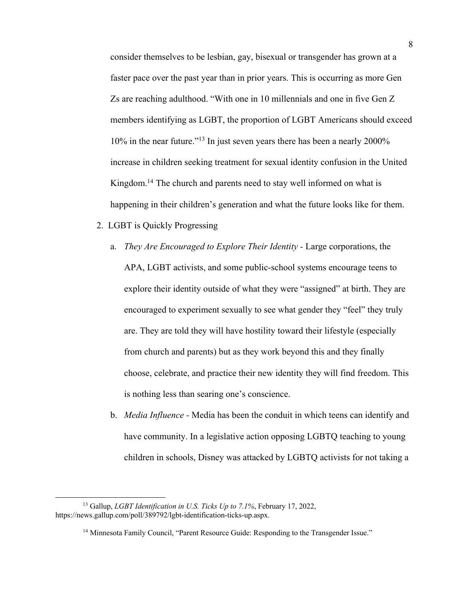consider themselves to be lesbian, gay, bisexual or transgender has grown at a faster pace over the past year than in prior years. This is occurring as more Gen Zs are reaching adulthood. "With one in 10 millennials and one in five Gen Z members identifying as LGBT, the proportion of LGBT Americans should exceed 10% in the near future."13 In just seven years there has been a nearly 2000% increase in children seeking treatment for sexual identity confusion in the United Kingdom. <sup>14</sup> The church and parents need to stay well informed on what is happening in their children's generation and what the future looks like for them.

- 2. LGBT is Quickly Progressing
	- a. *They Are Encouraged to Explore Their Identity -* Large corporations, the APA, LGBT activists, and some public-school systems encourage teens to explore their identity outside of what they were "assigned" at birth. They are encouraged to experiment sexually to see what gender they "feel" they truly are. They are told they will have hostility toward their lifestyle (especially from church and parents) but as they work beyond this and they finally choose, celebrate, and practice their new identity they will find freedom. This is nothing less than searing one's conscience.
	- b. *Media Influence -* Media has been the conduit in which teens can identify and have community. In a legislative action opposing LGBTQ teaching to young children in schools, Disney was attacked by LGBTQ activists for not taking a

<sup>13</sup> Gallup, *LGBT Identification in U.S. Ticks Up to 7.1%*, February 17, 2022, https://news.gallup.com/poll/389792/lgbt-identification-ticks-up.aspx.

<sup>&</sup>lt;sup>14</sup> Minnesota Family Council, "Parent Resource Guide: Responding to the Transgender Issue."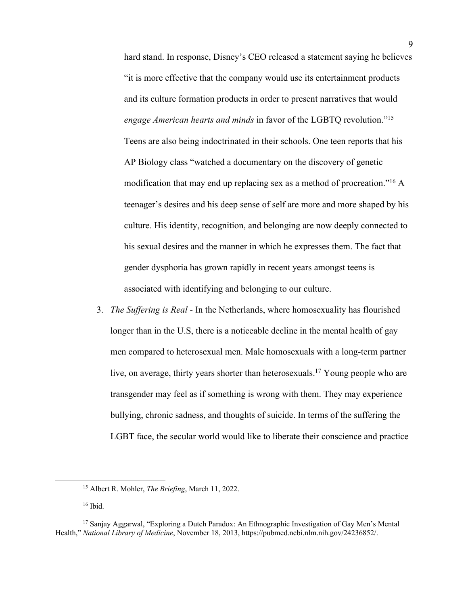hard stand. In response, Disney's CEO released a statement saying he believes "it is more effective that the company would use its entertainment products and its culture formation products in order to present narratives that would *engage American hearts and minds* in favor of the LGBTQ revolution."15 Teens are also being indoctrinated in their schools. One teen reports that his AP Biology class "watched a documentary on the discovery of genetic modification that may end up replacing sex as a method of procreation."16 A teenager's desires and his deep sense of self are more and more shaped by his culture. His identity, recognition, and belonging are now deeply connected to his sexual desires and the manner in which he expresses them. The fact that gender dysphoria has grown rapidly in recent years amongst teens is associated with identifying and belonging to our culture.

3. *The Suffering is Real -* In the Netherlands, where homosexuality has flourished longer than in the U.S, there is a noticeable decline in the mental health of gay men compared to heterosexual men. Male homosexuals with a long-term partner live, on average, thirty years shorter than heterosexuals.<sup>17</sup> Young people who are transgender may feel as if something is wrong with them. They may experience bullying, chronic sadness, and thoughts of suicide. In terms of the suffering the LGBT face, the secular world would like to liberate their conscience and practice

<sup>15</sup> Albert R. Mohler, *The Briefing*, March 11, 2022.

<sup>16</sup> Ibid.

<sup>&</sup>lt;sup>17</sup> Sanjay Aggarwal, "Exploring a Dutch Paradox: An Ethnographic Investigation of Gay Men's Mental Health," *National Library of Medicine*, November 18, 2013, https://pubmed.ncbi.nlm.nih.gov/24236852/.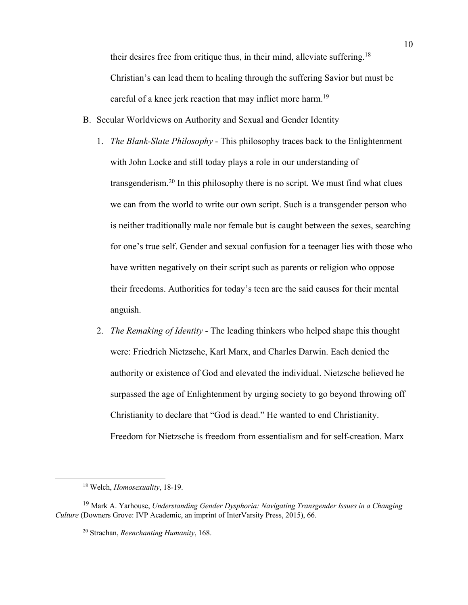their desires free from critique thus, in their mind, alleviate suffering.18 Christian's can lead them to healing through the suffering Savior but must be careful of a knee jerk reaction that may inflict more harm.<sup>19</sup>

- B. Secular Worldviews on Authority and Sexual and Gender Identity
	- 1. *The Blank-Slate Philosophy* This philosophy traces back to the Enlightenment with John Locke and still today plays a role in our understanding of transgenderism.20 In this philosophy there is no script. We must find what clues we can from the world to write our own script. Such is a transgender person who is neither traditionally male nor female but is caught between the sexes, searching for one's true self. Gender and sexual confusion for a teenager lies with those who have written negatively on their script such as parents or religion who oppose their freedoms. Authorities for today's teen are the said causes for their mental anguish.
	- 2. *The Remaking of Identity* The leading thinkers who helped shape this thought were: Friedrich Nietzsche, Karl Marx, and Charles Darwin. Each denied the authority or existence of God and elevated the individual. Nietzsche believed he surpassed the age of Enlightenment by urging society to go beyond throwing off Christianity to declare that "God is dead." He wanted to end Christianity. Freedom for Nietzsche is freedom from essentialism and for self-creation. Marx

<sup>18</sup> Welch, *Homosexuality*, 18-19.

<sup>19</sup> Mark A. Yarhouse, *Understanding Gender Dysphoria: Navigating Transgender Issues in a Changing Culture* (Downers Grove: IVP Academic, an imprint of InterVarsity Press, 2015), 66.

<sup>20</sup> Strachan, *Reenchanting Humanity*, 168.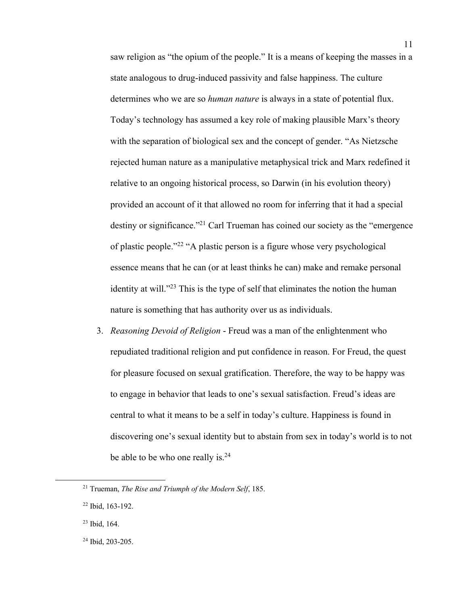saw religion as "the opium of the people." It is a means of keeping the masses in a state analogous to drug-induced passivity and false happiness. The culture determines who we are so *human nature* is always in a state of potential flux. Today's technology has assumed a key role of making plausible Marx's theory with the separation of biological sex and the concept of gender. "As Nietzsche rejected human nature as a manipulative metaphysical trick and Marx redefined it relative to an ongoing historical process, so Darwin (in his evolution theory) provided an account of it that allowed no room for inferring that it had a special destiny or significance."<sup>21</sup> Carl Trueman has coined our society as the "emergence" of plastic people."22 "A plastic person is a figure whose very psychological essence means that he can (or at least thinks he can) make and remake personal identity at will. $123$  This is the type of self that eliminates the notion the human nature is something that has authority over us as individuals.

3. *Reasoning Devoid of Religion* - Freud was a man of the enlightenment who repudiated traditional religion and put confidence in reason. For Freud, the quest for pleasure focused on sexual gratification. Therefore, the way to be happy was to engage in behavior that leads to one's sexual satisfaction. Freud's ideas are central to what it means to be a self in today's culture. Happiness is found in discovering one's sexual identity but to abstain from sex in today's world is to not be able to be who one really is.<sup>24</sup>

<sup>21</sup> Trueman, *The Rise and Triumph of the Modern Self*, 185.

<sup>22</sup> Ibid, 163-192.

<sup>23</sup> Ibid, 164.

<sup>24</sup> Ibid, 203-205.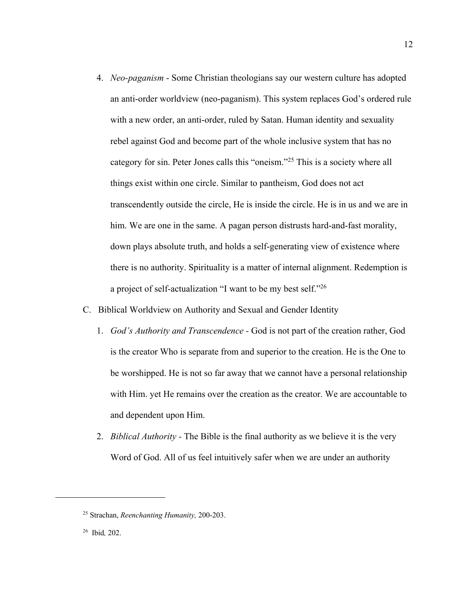- 4. *Neo-paganism* Some Christian theologians say our western culture has adopted an anti-order worldview (neo-paganism). This system replaces God's ordered rule with a new order, an anti-order, ruled by Satan. Human identity and sexuality rebel against God and become part of the whole inclusive system that has no category for sin. Peter Jones calls this "oneism."25 This is a society where all things exist within one circle. Similar to pantheism, God does not act transcendently outside the circle, He is inside the circle. He is in us and we are in him. We are one in the same. A pagan person distrusts hard-and-fast morality, down plays absolute truth, and holds a self-generating view of existence where there is no authority. Spirituality is a matter of internal alignment. Redemption is a project of self-actualization "I want to be my best self."26
- C. Biblical Worldview on Authority and Sexual and Gender Identity
	- 1. *God's Authority and Transcendence -* God is not part of the creation rather, God is the creator Who is separate from and superior to the creation. He is the One to be worshipped. He is not so far away that we cannot have a personal relationship with Him. yet He remains over the creation as the creator. We are accountable to and dependent upon Him.
	- 2. *Biblical Authority -* The Bible is the final authority as we believe it is the very Word of God. All of us feel intuitively safer when we are under an authority

<sup>25</sup> Strachan, *Reenchanting Humanity,* 200-203.

<sup>26</sup> Ibid*,* 202.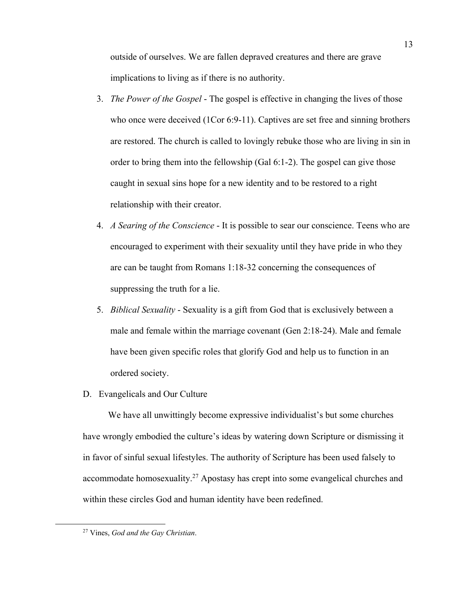outside of ourselves. We are fallen depraved creatures and there are grave implications to living as if there is no authority.

- 3. *The Power of the Gospel* The gospel is effective in changing the lives of those who once were deceived (1Cor 6:9-11). Captives are set free and sinning brothers are restored. The church is called to lovingly rebuke those who are living in sin in order to bring them into the fellowship (Gal 6:1-2). The gospel can give those caught in sexual sins hope for a new identity and to be restored to a right relationship with their creator.
- 4. *A Searing of the Conscience* It is possible to sear our conscience. Teens who are encouraged to experiment with their sexuality until they have pride in who they are can be taught from Romans 1:18-32 concerning the consequences of suppressing the truth for a lie.
- 5. *Biblical Sexuality* Sexuality is a gift from God that is exclusively between a male and female within the marriage covenant (Gen 2:18-24). Male and female have been given specific roles that glorify God and help us to function in an ordered society.
- D. Evangelicals and Our Culture

 We have all unwittingly become expressive individualist's but some churches have wrongly embodied the culture's ideas by watering down Scripture or dismissing it in favor of sinful sexual lifestyles. The authority of Scripture has been used falsely to accommodate homosexuality.27 Apostasy has crept into some evangelical churches and within these circles God and human identity have been redefined.

<sup>27</sup> Vines, *God and the Gay Christian*.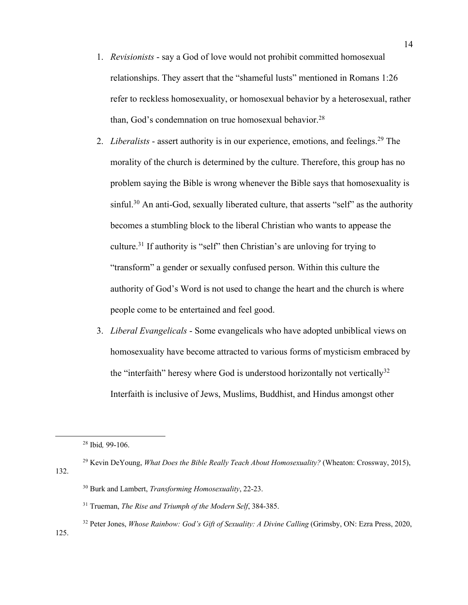- 1. *Revisionists*  say a God of love would not prohibit committed homosexual relationships. They assert that the "shameful lusts" mentioned in Romans 1:26 refer to reckless homosexuality, or homosexual behavior by a heterosexual, rather than, God's condemnation on true homosexual behavior.<sup>28</sup>
- 2. *Liberalists* assert authority is in our experience, emotions, and feelings.<sup>29</sup> The morality of the church is determined by the culture. Therefore, this group has no problem saying the Bible is wrong whenever the Bible says that homosexuality is sinful.<sup>30</sup> An anti-God, sexually liberated culture, that asserts "self" as the authority becomes a stumbling block to the liberal Christian who wants to appease the culture.31 If authority is "self" then Christian's are unloving for trying to "transform" a gender or sexually confused person. Within this culture the authority of God's Word is not used to change the heart and the church is where people come to be entertained and feel good.
- 3. *Liberal Evangelicals* Some evangelicals who have adopted unbiblical views on homosexuality have become attracted to various forms of mysticism embraced by the "interfaith" heresy where God is understood horizontally not vertically  $32$ Interfaith is inclusive of Jews, Muslims, Buddhist, and Hindus amongst other

- <sup>29</sup> Kevin DeYoung, *What Does the Bible Really Teach About Homosexuality?* (Wheaton: Crossway, 2015), 132.
	- <sup>30</sup> Burk and Lambert, *Transforming Homosexuality*, 22-23.
	- <sup>31</sup> Trueman, *The Rise and Triumph of the Modern Self*, 384-385.
	- <sup>32</sup> Peter Jones, *Whose Rainbow: God's Gift of Sexuality: A Divine Calling* (Grimsby, ON: Ezra Press, 2020,

14

125.

<sup>28</sup> Ibid*,* 99-106.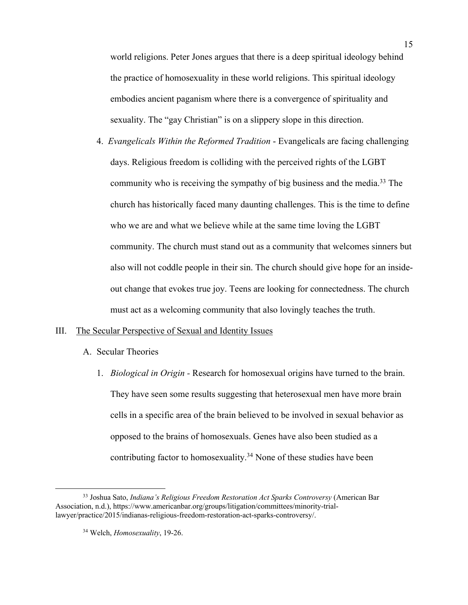world religions. Peter Jones argues that there is a deep spiritual ideology behind the practice of homosexuality in these world religions. This spiritual ideology embodies ancient paganism where there is a convergence of spirituality and sexuality. The "gay Christian" is on a slippery slope in this direction.

4. *Evangelicals Within the Reformed Tradition* - Evangelicals are facing challenging days. Religious freedom is colliding with the perceived rights of the LGBT community who is receiving the sympathy of big business and the media.<sup>33</sup> The church has historically faced many daunting challenges. This is the time to define who we are and what we believe while at the same time loving the LGBT community. The church must stand out as a community that welcomes sinners but also will not coddle people in their sin. The church should give hope for an insideout change that evokes true joy. Teens are looking for connectedness. The church must act as a welcoming community that also lovingly teaches the truth.

# III. The Secular Perspective of Sexual and Identity Issues

- A. Secular Theories
	- 1. *Biological in Origin -* Research for homosexual origins have turned to the brain. They have seen some results suggesting that heterosexual men have more brain cells in a specific area of the brain believed to be involved in sexual behavior as opposed to the brains of homosexuals. Genes have also been studied as a contributing factor to homosexuality.<sup>34</sup> None of these studies have been

<sup>33</sup> Joshua Sato, *Indiana's Religious Freedom Restoration Act Sparks Controversy* (American Bar Association, n.d.), https://www.americanbar.org/groups/litigation/committees/minority-triallawyer/practice/2015/indianas-religious-freedom-restoration-act-sparks-controversy/.

<sup>34</sup> Welch, *Homosexuality*, 19-26.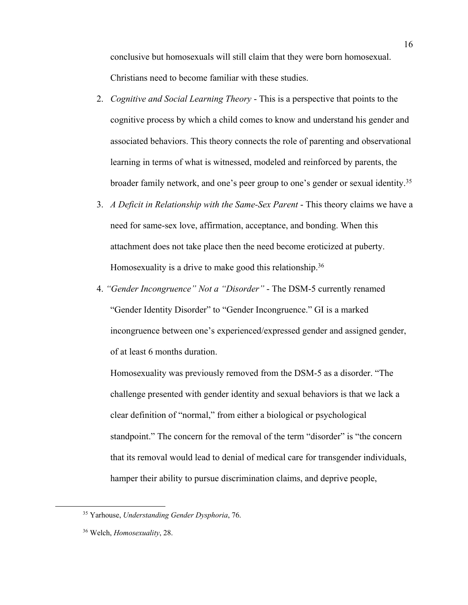conclusive but homosexuals will still claim that they were born homosexual. Christians need to become familiar with these studies.

- 2. *Cognitive and Social Learning Theory* This is a perspective that points to the cognitive process by which a child comes to know and understand his gender and associated behaviors. This theory connects the role of parenting and observational learning in terms of what is witnessed, modeled and reinforced by parents, the broader family network, and one's peer group to one's gender or sexual identity. 35
- 3. *A Deficit in Relationship with the Same-Sex Parent* This theory claims we have a need for same-sex love, affirmation, acceptance, and bonding. When this attachment does not take place then the need become eroticized at puberty. Homosexuality is a drive to make good this relationship.<sup>36</sup>
- 4. *"Gender Incongruence" Not a "Disorder"* The DSM-5 currently renamed "Gender Identity Disorder" to "Gender Incongruence." GI is a marked incongruence between one's experienced/expressed gender and assigned gender, of at least 6 months duration.

Homosexuality was previously removed from the DSM-5 as a disorder. "The challenge presented with gender identity and sexual behaviors is that we lack a clear definition of "normal," from either a biological or psychological standpoint." The concern for the removal of the term "disorder" is "the concern that its removal would lead to denial of medical care for transgender individuals, hamper their ability to pursue discrimination claims, and deprive people,

<sup>35</sup> Yarhouse, *Understanding Gender Dysphoria*, 76.

<sup>36</sup> Welch, *Homosexuality*, 28.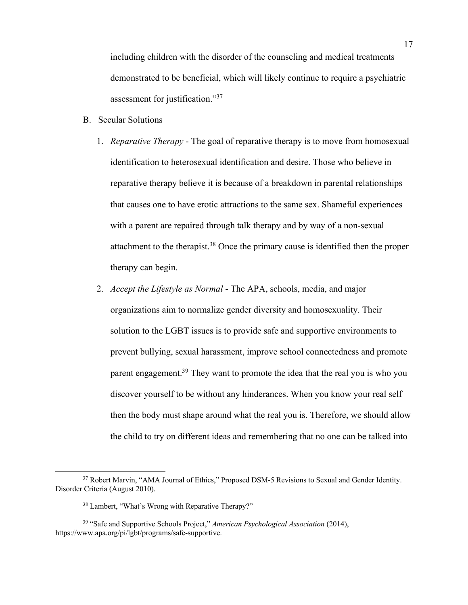including children with the disorder of the counseling and medical treatments demonstrated to be beneficial, which will likely continue to require a psychiatric assessment for justification."37

- B. Secular Solutions
	- 1. *Reparative Therapy* The goal of reparative therapy is to move from homosexual identification to heterosexual identification and desire. Those who believe in reparative therapy believe it is because of a breakdown in parental relationships that causes one to have erotic attractions to the same sex. Shameful experiences with a parent are repaired through talk therapy and by way of a non-sexual attachment to the therapist.38 Once the primary cause is identified then the proper therapy can begin.
	- 2. *Accept the Lifestyle as Normal* The APA, schools, media, and major organizations aim to normalize gender diversity and homosexuality. Their solution to the LGBT issues is to provide safe and supportive environments to prevent bullying, sexual harassment, improve school connectedness and promote parent engagement.<sup>39</sup> They want to promote the idea that the real you is who you discover yourself to be without any hinderances. When you know your real self then the body must shape around what the real you is. Therefore, we should allow the child to try on different ideas and remembering that no one can be talked into

<sup>&</sup>lt;sup>37</sup> Robert Marvin, "AMA Journal of Ethics," Proposed DSM-5 Revisions to Sexual and Gender Identity. Disorder Criteria (August 2010).

<sup>38</sup> Lambert, "What's Wrong with Reparative Therapy?"

<sup>39</sup> "Safe and Supportive Schools Project," *American Psychological Association* (2014), https://www.apa.org/pi/lgbt/programs/safe-supportive.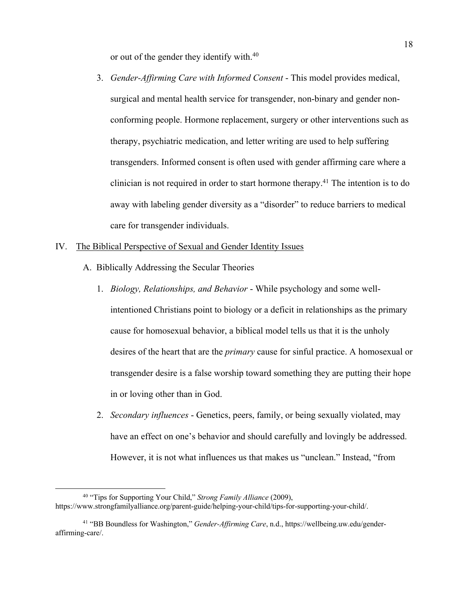or out of the gender they identify with.40

3. *Gender-Affirming Care with Informed Consent* - This model provides medical, surgical and mental health service for transgender, non-binary and gender nonconforming people. Hormone replacement, surgery or other interventions such as therapy, psychiatric medication, and letter writing are used to help suffering transgenders. Informed consent is often used with gender affirming care where a clinician is not required in order to start hormone therapy.<sup>41</sup> The intention is to do away with labeling gender diversity as a "disorder" to reduce barriers to medical care for transgender individuals.

# IV. The Biblical Perspective of Sexual and Gender Identity Issues

- A. Biblically Addressing the Secular Theories
	- 1. *Biology, Relationships, and Behavior* While psychology and some wellintentioned Christians point to biology or a deficit in relationships as the primary cause for homosexual behavior, a biblical model tells us that it is the unholy desires of the heart that are the *primary* cause for sinful practice. A homosexual or transgender desire is a false worship toward something they are putting their hope in or loving other than in God.
	- 2. *Secondary influences* Genetics, peers, family, or being sexually violated, may have an effect on one's behavior and should carefully and lovingly be addressed. However, it is not what influences us that makes us "unclean." Instead, "from

<sup>40</sup> "Tips for Supporting Your Child," *Strong Family Alliance* (2009), https://www.strongfamilyalliance.org/parent-guide/helping-your-child/tips-for-supporting-your-child/.

<sup>41</sup> "BB Boundless for Washington," *Gender-Affirming Care*, n.d., https://wellbeing.uw.edu/genderaffirming-care/.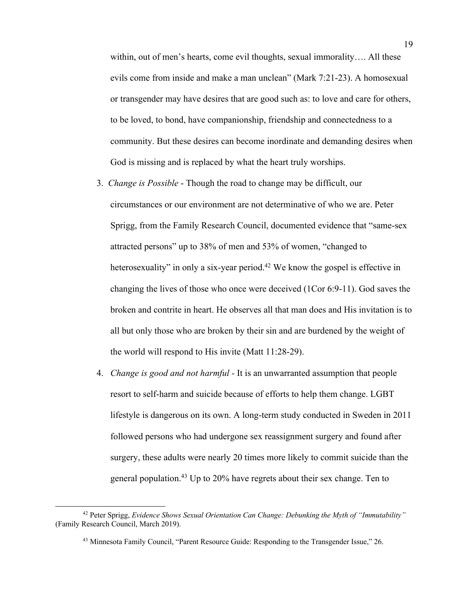within, out of men's hearts, come evil thoughts, sexual immorality…. All these evils come from inside and make a man unclean" (Mark 7:21-23). A homosexual or transgender may have desires that are good such as: to love and care for others, to be loved, to bond, have companionship, friendship and connectedness to a community. But these desires can become inordinate and demanding desires when God is missing and is replaced by what the heart truly worships.

- 3. *Change is Possible* Though the road to change may be difficult, our circumstances or our environment are not determinative of who we are. Peter Sprigg, from the Family Research Council, documented evidence that "same-sex attracted persons" up to 38% of men and 53% of women, "changed to heterosexuality" in only a six-year period.<sup>42</sup> We know the gospel is effective in changing the lives of those who once were deceived (1Cor 6:9-11). God saves the broken and contrite in heart. He observes all that man does and His invitation is to all but only those who are broken by their sin and are burdened by the weight of the world will respond to His invite (Matt 11:28-29).
- 4. *Change is good and not harmful -* It is an unwarranted assumption that people resort to self-harm and suicide because of efforts to help them change. LGBT lifestyle is dangerous on its own. A long-term study conducted in Sweden in 2011 followed persons who had undergone sex reassignment surgery and found after surgery, these adults were nearly 20 times more likely to commit suicide than the general population.<sup>43</sup> Up to 20% have regrets about their sex change. Ten to

<sup>42</sup> Peter Sprigg, *Evidence Shows Sexual Orientation Can Change: Debunking the Myth of "Immutability"* (Family Research Council, March 2019).

<sup>43</sup> Minnesota Family Council, "Parent Resource Guide: Responding to the Transgender Issue," 26.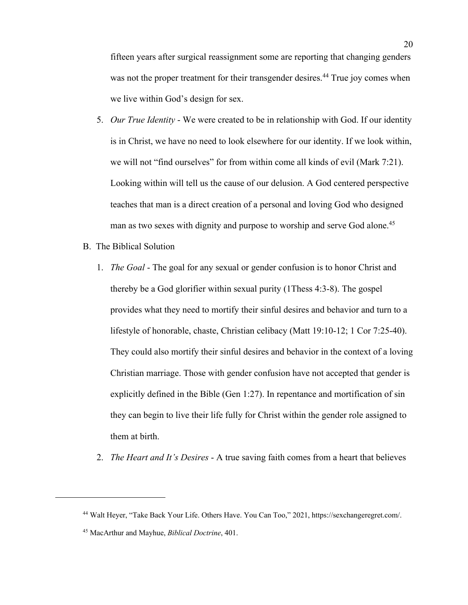fifteen years after surgical reassignment some are reporting that changing genders was not the proper treatment for their transgender desires.<sup>44</sup> True joy comes when we live within God's design for sex.

- 5. *Our True Identity* We were created to be in relationship with God. If our identity is in Christ, we have no need to look elsewhere for our identity. If we look within, we will not "find ourselves" for from within come all kinds of evil (Mark 7:21). Looking within will tell us the cause of our delusion. A God centered perspective teaches that man is a direct creation of a personal and loving God who designed man as two sexes with dignity and purpose to worship and serve God alone.<sup>45</sup>
- B. The Biblical Solution
	- 1. *The Goal* The goal for any sexual or gender confusion is to honor Christ and thereby be a God glorifier within sexual purity (1Thess 4:3-8). The gospel provides what they need to mortify their sinful desires and behavior and turn to a lifestyle of honorable, chaste, Christian celibacy (Matt 19:10-12; 1 Cor 7:25-40). They could also mortify their sinful desires and behavior in the context of a loving Christian marriage. Those with gender confusion have not accepted that gender is explicitly defined in the Bible (Gen 1:27). In repentance and mortification of sin they can begin to live their life fully for Christ within the gender role assigned to them at birth.
	- 2. *The Heart and It's Desires* A true saving faith comes from a heart that believes

<sup>44</sup> Walt Heyer, "Take Back Your Life. Others Have. You Can Too," 2021, https://sexchangeregret.com/.

<sup>45</sup> MacArthur and Mayhue, *Biblical Doctrine*, 401.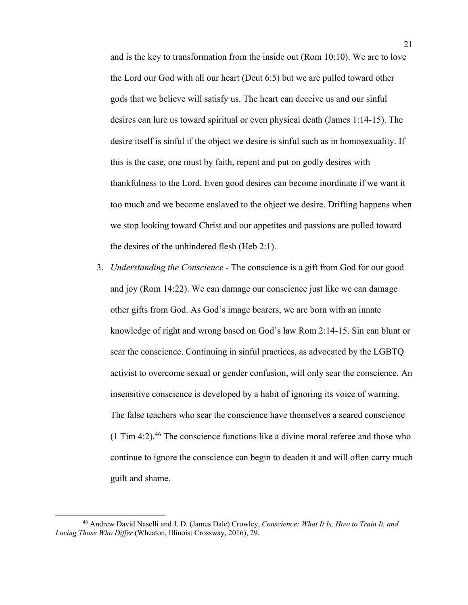and is the key to transformation from the inside out (Rom 10:10). We are to love the Lord our God with all our heart (Deut 6:5) but we are pulled toward other gods that we believe will satisfy us. The heart can deceive us and our sinful desires can lure us toward spiritual or even physical death (James 1:14-15). The desire itself is sinful if the object we desire is sinful such as in homosexuality. If this is the case, one must by faith, repent and put on godly desires with thankfulness to the Lord. Even good desires can become inordinate if we want it too much and we become enslaved to the object we desire. Drifting happens when we stop looking toward Christ and our appetites and passions are pulled toward the desires of the unhindered flesh (Heb 2:1).

3. *Understanding the Conscience -* The conscience is a gift from God for our good and joy (Rom 14:22). We can damage our conscience just like we can damage other gifts from God. As God's image bearers, we are born with an innate knowledge of right and wrong based on God's law Rom 2:14-15. Sin can blunt or sear the conscience. Continuing in sinful practices, as advocated by the LGBTQ activist to overcome sexual or gender confusion, will only sear the conscience. An insensitive conscience is developed by a habit of ignoring its voice of warning. The false teachers who sear the conscience have themselves a seared conscience  $(1$  Tim 4:2).<sup>46</sup> The conscience functions like a divine moral referee and those who continue to ignore the conscience can begin to deaden it and will often carry much guilt and shame.

<sup>46</sup> Andrew David Naselli and J. D. (James Dale) Crowley, *Conscience: What It Is, How to Train It, and Loving Those Who Differ* (Wheaton, Illinois: Crossway, 2016), 29.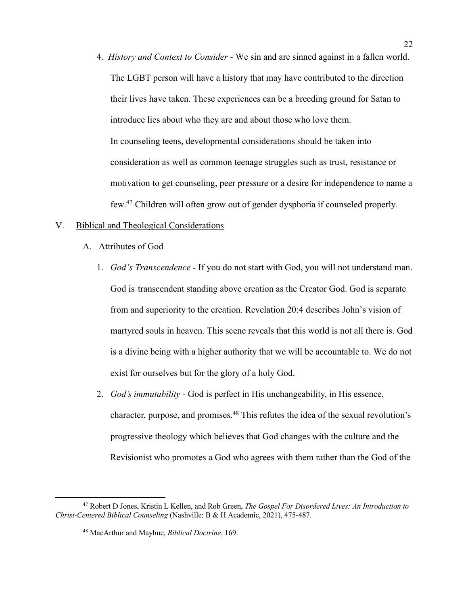4. *History and Context to Consider -* We sin and are sinned against in a fallen world. The LGBT person will have a history that may have contributed to the direction their lives have taken. These experiences can be a breeding ground for Satan to introduce lies about who they are and about those who love them. In counseling teens, developmental considerations should be taken into consideration as well as common teenage struggles such as trust, resistance or motivation to get counseling, peer pressure or a desire for independence to name a few.47 Children will often grow out of gender dysphoria if counseled properly.

#### V. Biblical and Theological Considerations

- A. Attributes of God
	- 1. *God's Transcendence -* If you do not start with God, you will not understand man. God is transcendent standing above creation as the Creator God. God is separate from and superiority to the creation. Revelation 20:4 describes John's vision of martyred souls in heaven. This scene reveals that this world is not all there is. God is a divine being with a higher authority that we will be accountable to. We do not exist for ourselves but for the glory of a holy God.
	- 2. *God's immutability -* God is perfect in His unchangeability, in His essence, character, purpose, and promises.48 This refutes the idea of the sexual revolution's progressive theology which believes that God changes with the culture and the Revisionist who promotes a God who agrees with them rather than the God of the

<sup>47</sup> Robert D Jones, Kristin L Kellen, and Rob Green, *The Gospel For Disordered Lives: An Introduction to Christ-Centered Biblical Counseling* (Nashville: B & H Academic, 2021), 475-487.

<sup>48</sup> MacArthur and Mayhue, *Biblical Doctrine*, 169.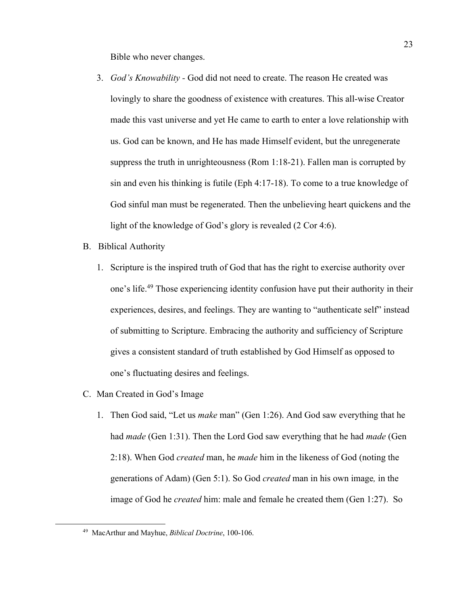Bible who never changes.

- 3. *God's Knowability -* God did not need to create. The reason He created was lovingly to share the goodness of existence with creatures. This all-wise Creator made this vast universe and yet He came to earth to enter a love relationship with us. God can be known, and He has made Himself evident, but the unregenerate suppress the truth in unrighteousness (Rom 1:18-21). Fallen man is corrupted by sin and even his thinking is futile (Eph 4:17-18). To come to a true knowledge of God sinful man must be regenerated. Then the unbelieving heart quickens and the light of the knowledge of God's glory is revealed (2 Cor 4:6).
- B. Biblical Authority
	- 1. Scripture is the inspired truth of God that has the right to exercise authority over one's life.49 Those experiencing identity confusion have put their authority in their experiences, desires, and feelings. They are wanting to "authenticate self" instead of submitting to Scripture. Embracing the authority and sufficiency of Scripture gives a consistent standard of truth established by God Himself as opposed to one's fluctuating desires and feelings.
- C. Man Created in God's Image
	- 1. Then God said, "Let us *make* man" (Gen 1:26). And God saw everything that he had *made* (Gen 1:31). Then the Lord God saw everything that he had *made* (Gen 2:18). When God *created* man, he *made* him in the likeness of God (noting the generations of Adam) (Gen 5:1). So God *created* man in his own image*,* in the image of God he *created* him: male and female he created them (Gen 1:27). So

<sup>49</sup> MacArthur and Mayhue, *Biblical Doctrine*, 100-106.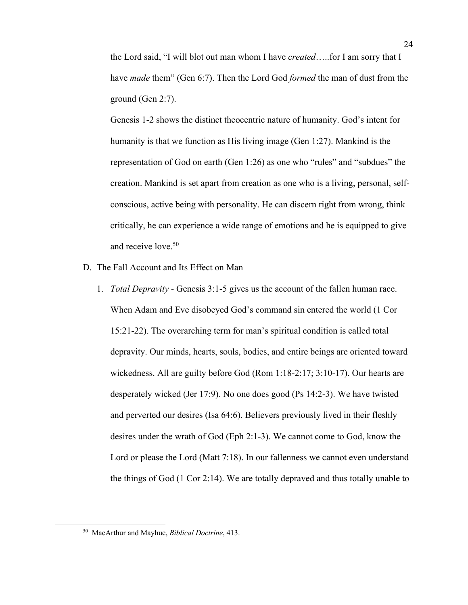the Lord said, "I will blot out man whom I have *created*…..for I am sorry that I have *made* them" (Gen 6:7). Then the Lord God *formed* the man of dust from the ground (Gen 2:7).

Genesis 1-2 shows the distinct theocentric nature of humanity. God's intent for humanity is that we function as His living image (Gen 1:27). Mankind is the representation of God on earth (Gen 1:26) as one who "rules" and "subdues" the creation. Mankind is set apart from creation as one who is a living, personal, selfconscious, active being with personality. He can discern right from wrong, think critically, he can experience a wide range of emotions and he is equipped to give and receive love. 50

- D. The Fall Account and Its Effect on Man
	- 1. *Total Depravity -* Genesis 3:1-5 gives us the account of the fallen human race. When Adam and Eve disobeyed God's command sin entered the world (1 Cor 15:21-22). The overarching term for man's spiritual condition is called total depravity. Our minds, hearts, souls, bodies, and entire beings are oriented toward wickedness. All are guilty before God (Rom 1:18-2:17; 3:10-17). Our hearts are desperately wicked (Jer 17:9). No one does good (Ps 14:2-3). We have twisted and perverted our desires (Isa 64:6). Believers previously lived in their fleshly desires under the wrath of God (Eph 2:1-3). We cannot come to God, know the Lord or please the Lord (Matt 7:18). In our fallenness we cannot even understand the things of God (1 Cor 2:14). We are totally depraved and thus totally unable to

<sup>50</sup> MacArthur and Mayhue, *Biblical Doctrine*, 413.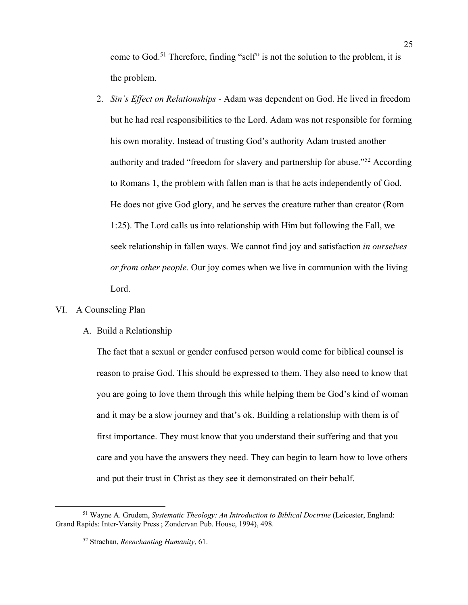come to God.51 Therefore, finding "self" is not the solution to the problem, it is the problem.

2. *Sin's Effect on Relationships -* Adam was dependent on God. He lived in freedom but he had real responsibilities to the Lord. Adam was not responsible for forming his own morality. Instead of trusting God's authority Adam trusted another authority and traded "freedom for slavery and partnership for abuse."52 According to Romans 1, the problem with fallen man is that he acts independently of God. He does not give God glory, and he serves the creature rather than creator (Rom 1:25). The Lord calls us into relationship with Him but following the Fall, we seek relationship in fallen ways. We cannot find joy and satisfaction *in ourselves or from other people.* Our joy comes when we live in communion with the living Lord.

# VI. A Counseling Plan

# A. Build a Relationship

The fact that a sexual or gender confused person would come for biblical counsel is reason to praise God. This should be expressed to them. They also need to know that you are going to love them through this while helping them be God's kind of woman and it may be a slow journey and that's ok. Building a relationship with them is of first importance. They must know that you understand their suffering and that you care and you have the answers they need. They can begin to learn how to love others and put their trust in Christ as they see it demonstrated on their behalf.

<sup>51</sup> Wayne A. Grudem, *Systematic Theology: An Introduction to Biblical Doctrine* (Leicester, England: Grand Rapids: Inter-Varsity Press ; Zondervan Pub. House, 1994), 498.

<sup>52</sup> Strachan, *Reenchanting Humanity*, 61.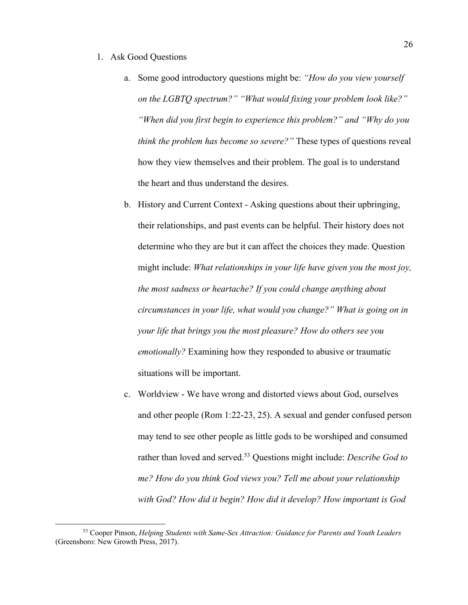# 1. Ask Good Questions

- a. Some good introductory questions might be: *"How do you view yourself on the LGBTQ spectrum?" "What would fixing your problem look like?" "When did you first begin to experience this problem?" and "Why do you think the problem has become so severe?"* These types of questions reveal how they view themselves and their problem. The goal is to understand the heart and thus understand the desires.
- b. History and Current Context Asking questions about their upbringing, their relationships, and past events can be helpful. Their history does not determine who they are but it can affect the choices they made. Question might include: *What relationships in your life have given you the most joy, the most sadness or heartache? If you could change anything about circumstances in your life, what would you change?" What is going on in your life that brings you the most pleasure? How do others see you emotionally?* Examining how they responded to abusive or traumatic situations will be important.
- c. Worldview We have wrong and distorted views about God, ourselves and other people (Rom 1:22-23, 25). A sexual and gender confused person may tend to see other people as little gods to be worshiped and consumed rather than loved and served.53 Questions might include: *Describe God to me? How do you think God views you? Tell me about your relationship with God? How did it begin? How did it develop? How important is God*

<sup>53</sup> Cooper Pinson, *Helping Students with Same-Sex Attraction: Guidance for Parents and Youth Leaders* (Greensboro: New Growth Press, 2017).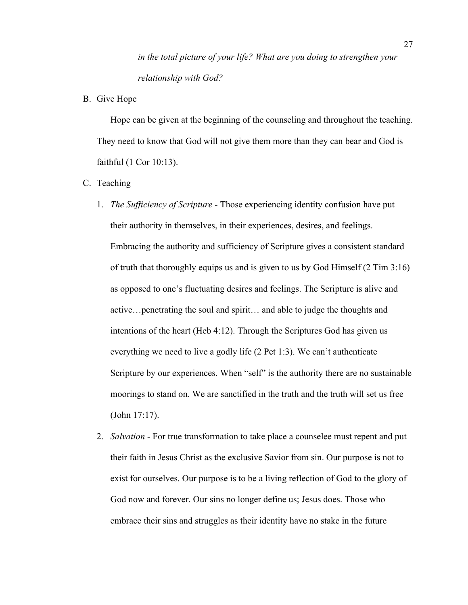*in the total picture of your life? What are you doing to strengthen your relationship with God?*

B. Give Hope

Hope can be given at the beginning of the counseling and throughout the teaching. They need to know that God will not give them more than they can bear and God is faithful (1 Cor 10:13).

- C. Teaching
	- 1. *The Sufficiency of Scripture -* Those experiencing identity confusion have put their authority in themselves, in their experiences, desires, and feelings. Embracing the authority and sufficiency of Scripture gives a consistent standard of truth that thoroughly equips us and is given to us by God Himself (2 Tim 3:16) as opposed to one's fluctuating desires and feelings. The Scripture is alive and active…penetrating the soul and spirit… and able to judge the thoughts and intentions of the heart (Heb 4:12). Through the Scriptures God has given us everything we need to live a godly life (2 Pet 1:3). We can't authenticate Scripture by our experiences. When "self" is the authority there are no sustainable moorings to stand on. We are sanctified in the truth and the truth will set us free (John 17:17).
	- 2. *Salvation -* For true transformation to take place a counselee must repent and put their faith in Jesus Christ as the exclusive Savior from sin. Our purpose is not to exist for ourselves. Our purpose is to be a living reflection of God to the glory of God now and forever. Our sins no longer define us; Jesus does. Those who embrace their sins and struggles as their identity have no stake in the future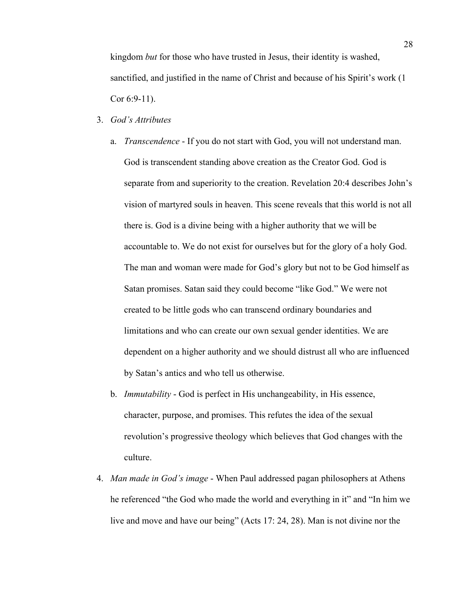kingdom *but* for those who have trusted in Jesus, their identity is washed, sanctified, and justified in the name of Christ and because of his Spirit's work (1 Cor 6:9-11).

- 3. *God's Attributes*
	- a. *Transcendence* If you do not start with God, you will not understand man. God is transcendent standing above creation as the Creator God. God is separate from and superiority to the creation. Revelation 20:4 describes John's vision of martyred souls in heaven. This scene reveals that this world is not all there is. God is a divine being with a higher authority that we will be accountable to. We do not exist for ourselves but for the glory of a holy God. The man and woman were made for God's glory but not to be God himself as Satan promises. Satan said they could become "like God." We were not created to be little gods who can transcend ordinary boundaries and limitations and who can create our own sexual gender identities. We are dependent on a higher authority and we should distrust all who are influenced by Satan's antics and who tell us otherwise.
	- b. *Immutability* God is perfect in His unchangeability, in His essence, character, purpose, and promises. This refutes the idea of the sexual revolution's progressive theology which believes that God changes with the culture.
- 4. *Man made in God's image* When Paul addressed pagan philosophers at Athens he referenced "the God who made the world and everything in it" and "In him we live and move and have our being" (Acts 17: 24, 28). Man is not divine nor the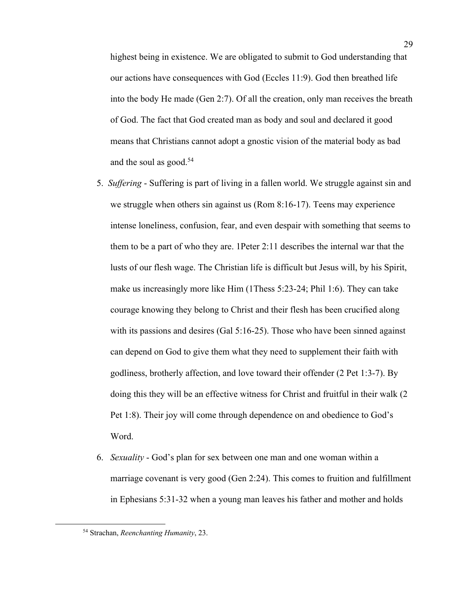highest being in existence. We are obligated to submit to God understanding that our actions have consequences with God (Eccles 11:9). God then breathed life into the body He made (Gen 2:7). Of all the creation, only man receives the breath of God. The fact that God created man as body and soul and declared it good means that Christians cannot adopt a gnostic vision of the material body as bad and the soul as good. $54$ 

- 5. *Suffering* Suffering is part of living in a fallen world. We struggle against sin and we struggle when others sin against us (Rom 8:16-17). Teens may experience intense loneliness, confusion, fear, and even despair with something that seems to them to be a part of who they are. 1Peter 2:11 describes the internal war that the lusts of our flesh wage. The Christian life is difficult but Jesus will, by his Spirit, make us increasingly more like Him (1Thess 5:23-24; Phil 1:6). They can take courage knowing they belong to Christ and their flesh has been crucified along with its passions and desires (Gal 5:16-25). Those who have been sinned against can depend on God to give them what they need to supplement their faith with godliness, brotherly affection, and love toward their offender (2 Pet 1:3-7). By doing this they will be an effective witness for Christ and fruitful in their walk (2 Pet 1:8). Their joy will come through dependence on and obedience to God's Word.
- 6. *Sexuality* God's plan for sex between one man and one woman within a marriage covenant is very good (Gen 2:24). This comes to fruition and fulfillment in Ephesians 5:31-32 when a young man leaves his father and mother and holds

<sup>54</sup> Strachan, *Reenchanting Humanity*, 23.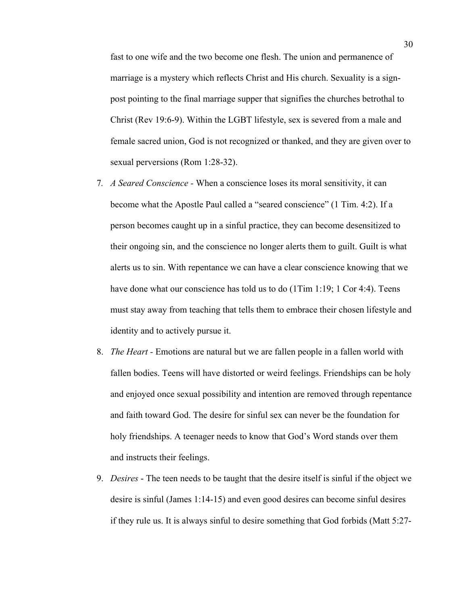fast to one wife and the two become one flesh. The union and permanence of marriage is a mystery which reflects Christ and His church. Sexuality is a signpost pointing to the final marriage supper that signifies the churches betrothal to Christ (Rev 19:6-9). Within the LGBT lifestyle, sex is severed from a male and female sacred union, God is not recognized or thanked, and they are given over to sexual perversions (Rom 1:28-32).

- 7*. A Seared Conscience -* When a conscience loses its moral sensitivity, it can become what the Apostle Paul called a "seared conscience" (1 Tim. 4:2). If a person becomes caught up in a sinful practice, they can become desensitized to their ongoing sin, and the conscience no longer alerts them to guilt. Guilt is what alerts us to sin. With repentance we can have a clear conscience knowing that we have done what our conscience has told us to do  $(1Tim 1:19; 1Cor 4:4)$ . Teens must stay away from teaching that tells them to embrace their chosen lifestyle and identity and to actively pursue it.
- 8. *The Heart -* Emotions are natural but we are fallen people in a fallen world with fallen bodies. Teens will have distorted or weird feelings. Friendships can be holy and enjoyed once sexual possibility and intention are removed through repentance and faith toward God. The desire for sinful sex can never be the foundation for holy friendships. A teenager needs to know that God's Word stands over them and instructs their feelings.
- 9. *Desires* The teen needs to be taught that the desire itself is sinful if the object we desire is sinful (James 1:14-15) and even good desires can become sinful desires if they rule us. It is always sinful to desire something that God forbids (Matt 5:27-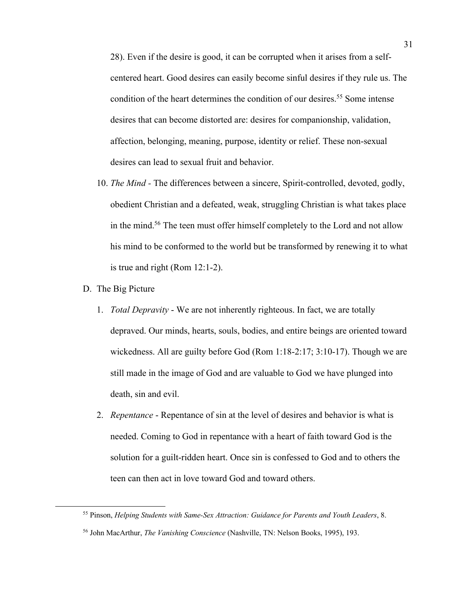28). Even if the desire is good, it can be corrupted when it arises from a selfcentered heart. Good desires can easily become sinful desires if they rule us. The condition of the heart determines the condition of our desires.<sup>55</sup> Some intense desires that can become distorted are: desires for companionship, validation, affection, belonging, meaning, purpose, identity or relief. These non-sexual desires can lead to sexual fruit and behavior.

- 10. *The Mind -* The differences between a sincere, Spirit-controlled, devoted, godly, obedient Christian and a defeated, weak, struggling Christian is what takes place in the mind.56 The teen must offer himself completely to the Lord and not allow his mind to be conformed to the world but be transformed by renewing it to what is true and right (Rom 12:1-2).
- D. The Big Picture
	- 1. *Total Depravity* We are not inherently righteous. In fact, we are totally depraved. Our minds, hearts, souls, bodies, and entire beings are oriented toward wickedness. All are guilty before God (Rom 1:18-2:17; 3:10-17). Though we are still made in the image of God and are valuable to God we have plunged into death, sin and evil.
	- 2. *Repentance* Repentance of sin at the level of desires and behavior is what is needed. Coming to God in repentance with a heart of faith toward God is the solution for a guilt-ridden heart. Once sin is confessed to God and to others the teen can then act in love toward God and toward others.

<sup>55</sup> Pinson, *Helping Students with Same-Sex Attraction: Guidance for Parents and Youth Leaders*, 8. <sup>56</sup> John MacArthur, *The Vanishing Conscience* (Nashville, TN: Nelson Books, 1995), 193.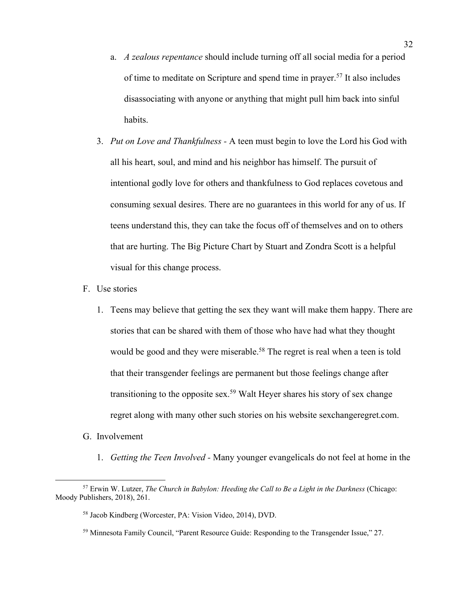- a. *A zealous repentance* should include turning off all social media for a period of time to meditate on Scripture and spend time in prayer.57 It also includes disassociating with anyone or anything that might pull him back into sinful habits.
- 3. *Put on Love and Thankfulness -* A teen must begin to love the Lord his God with all his heart, soul, and mind and his neighbor has himself. The pursuit of intentional godly love for others and thankfulness to God replaces covetous and consuming sexual desires. There are no guarantees in this world for any of us. If teens understand this, they can take the focus off of themselves and on to others that are hurting. The Big Picture Chart by Stuart and Zondra Scott is a helpful visual for this change process.
- F. Use stories
	- 1. Teens may believe that getting the sex they want will make them happy. There are stories that can be shared with them of those who have had what they thought would be good and they were miserable.<sup>58</sup> The regret is real when a teen is told that their transgender feelings are permanent but those feelings change after transitioning to the opposite sex.<sup>59</sup> Walt Heyer shares his story of sex change regret along with many other such stories on his website sexchangeregret.com.
- G. Involvement
	- 1. *Getting the Teen Involved -* Many younger evangelicals do not feel at home in the

<sup>57</sup> Erwin W. Lutzer, *The Church in Babylon: Heeding the Call to Be a Light in the Darkness* (Chicago: Moody Publishers, 2018), 261.

<sup>58</sup> Jacob Kindberg (Worcester, PA: Vision Video, 2014), DVD.

<sup>59</sup> Minnesota Family Council, "Parent Resource Guide: Responding to the Transgender Issue," 27.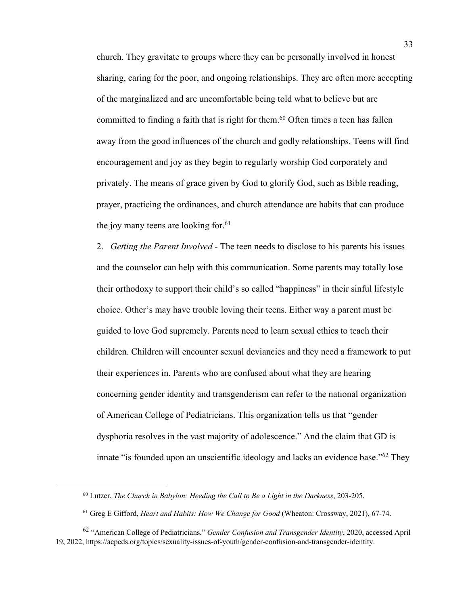church. They gravitate to groups where they can be personally involved in honest sharing, caring for the poor, and ongoing relationships. They are often more accepting of the marginalized and are uncomfortable being told what to believe but are committed to finding a faith that is right for them.<sup>60</sup> Often times a teen has fallen away from the good influences of the church and godly relationships. Teens will find encouragement and joy as they begin to regularly worship God corporately and privately. The means of grace given by God to glorify God, such as Bible reading, prayer, practicing the ordinances, and church attendance are habits that can produce the joy many teens are looking for. 61

2. *Getting the Parent Involved* - The teen needs to disclose to his parents his issues and the counselor can help with this communication. Some parents may totally lose their orthodoxy to support their child's so called "happiness" in their sinful lifestyle choice. Other's may have trouble loving their teens. Either way a parent must be guided to love God supremely. Parents need to learn sexual ethics to teach their children. Children will encounter sexual deviancies and they need a framework to put their experiences in. Parents who are confused about what they are hearing concerning gender identity and transgenderism can refer to the national organization of American College of Pediatricians. This organization tells us that "gender dysphoria resolves in the vast majority of adolescence." And the claim that GD is innate "is founded upon an unscientific ideology and lacks an evidence base."<sup>62</sup> They

<sup>60</sup> Lutzer, *The Church in Babylon: Heeding the Call to Be a Light in the Darkness*, 203-205.

<sup>61</sup> Greg E Gifford, *Heart and Habits: How We Change for Good* (Wheaton: Crossway, 2021), 67-74.

<sup>62</sup> "American College of Pediatricians," *Gender Confusion and Transgender Identity*, 2020, accessed April 19, 2022, https://acpeds.org/topics/sexuality-issues-of-youth/gender-confusion-and-transgender-identity.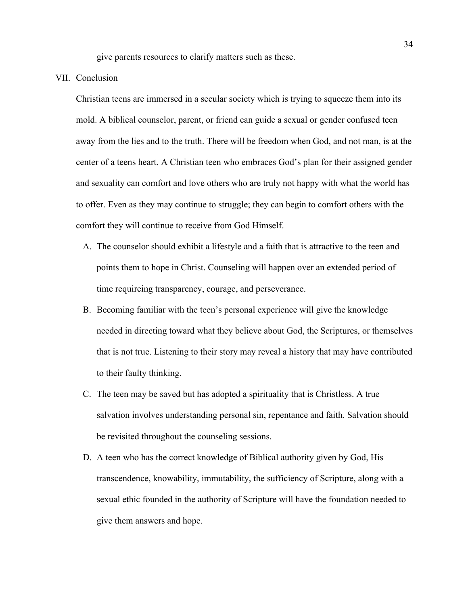give parents resources to clarify matters such as these.

#### VII. Conclusion

Christian teens are immersed in a secular society which is trying to squeeze them into its mold. A biblical counselor, parent, or friend can guide a sexual or gender confused teen away from the lies and to the truth. There will be freedom when God, and not man, is at the center of a teens heart. A Christian teen who embraces God's plan for their assigned gender and sexuality can comfort and love others who are truly not happy with what the world has to offer. Even as they may continue to struggle; they can begin to comfort others with the comfort they will continue to receive from God Himself.

- A. The counselor should exhibit a lifestyle and a faith that is attractive to the teen and points them to hope in Christ. Counseling will happen over an extended period of time requireing transparency, courage, and perseverance.
- B. Becoming familiar with the teen's personal experience will give the knowledge needed in directing toward what they believe about God, the Scriptures, or themselves that is not true. Listening to their story may reveal a history that may have contributed to their faulty thinking.
- C. The teen may be saved but has adopted a spirituality that is Christless. A true salvation involves understanding personal sin, repentance and faith. Salvation should be revisited throughout the counseling sessions.
- D. A teen who has the correct knowledge of Biblical authority given by God, His transcendence, knowability, immutability, the sufficiency of Scripture, along with a sexual ethic founded in the authority of Scripture will have the foundation needed to give them answers and hope.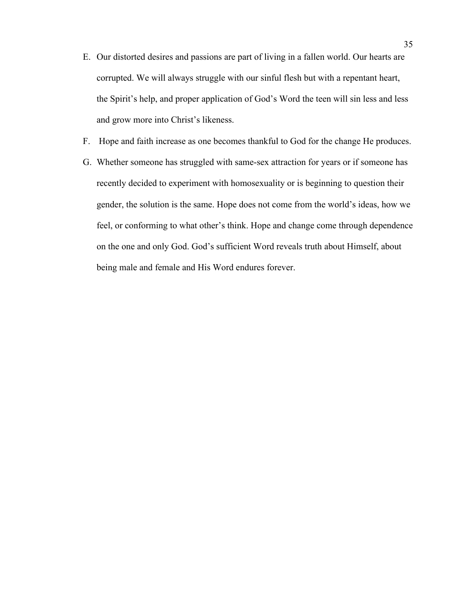- E. Our distorted desires and passions are part of living in a fallen world. Our hearts are corrupted. We will always struggle with our sinful flesh but with a repentant heart, the Spirit's help, and proper application of God's Word the teen will sin less and less and grow more into Christ's likeness.
- F. Hope and faith increase as one becomes thankful to God for the change He produces.
- G. Whether someone has struggled with same-sex attraction for years or if someone has recently decided to experiment with homosexuality or is beginning to question their gender, the solution is the same. Hope does not come from the world's ideas, how we feel, or conforming to what other's think. Hope and change come through dependence on the one and only God. God's sufficient Word reveals truth about Himself, about being male and female and His Word endures forever.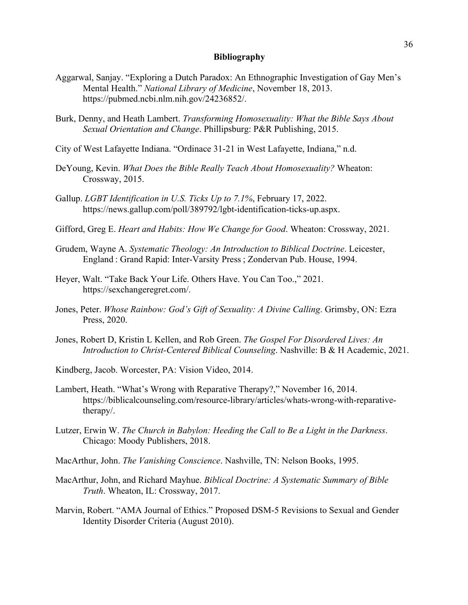# **Bibliography**

- Aggarwal, Sanjay. "Exploring a Dutch Paradox: An Ethnographic Investigation of Gay Men's Mental Health." *National Library of Medicine*, November 18, 2013. https://pubmed.ncbi.nlm.nih.gov/24236852/.
- Burk, Denny, and Heath Lambert. *Transforming Homosexuality: What the Bible Says About Sexual Orientation and Change*. Phillipsburg: P&R Publishing, 2015.
- City of West Lafayette Indiana. "Ordinace 31-21 in West Lafayette, Indiana," n.d.
- DeYoung, Kevin. *What Does the Bible Really Teach About Homosexuality?* Wheaton: Crossway, 2015.
- Gallup. *LGBT Identification in U.S. Ticks Up to 7.1%*, February 17, 2022. https://news.gallup.com/poll/389792/lgbt-identification-ticks-up.aspx.
- Gifford, Greg E. *Heart and Habits: How We Change for Good*. Wheaton: Crossway, 2021.
- Grudem, Wayne A. *Systematic Theology: An Introduction to Biblical Doctrine*. Leicester, England : Grand Rapid: Inter-Varsity Press ; Zondervan Pub. House, 1994.
- Heyer, Walt. "Take Back Your Life. Others Have. You Can Too.," 2021. https://sexchangeregret.com/.
- Jones, Peter. *Whose Rainbow: God's Gift of Sexuality: A Divine Calling*. Grimsby, ON: Ezra Press, 2020.
- Jones, Robert D, Kristin L Kellen, and Rob Green. *The Gospel For Disordered Lives: An Introduction to Christ-Centered Biblical Counseling*. Nashville: B & H Academic, 2021.
- Kindberg, Jacob. Worcester, PA: Vision Video, 2014.
- Lambert, Heath. "What's Wrong with Reparative Therapy?," November 16, 2014. https://biblicalcounseling.com/resource-library/articles/whats-wrong-with-reparativetherapy/.
- Lutzer, Erwin W. *The Church in Babylon: Heeding the Call to Be a Light in the Darkness*. Chicago: Moody Publishers, 2018.
- MacArthur, John. *The Vanishing Conscience*. Nashville, TN: Nelson Books, 1995.
- MacArthur, John, and Richard Mayhue. *Biblical Doctrine: A Systematic Summary of Bible Truth*. Wheaton, IL: Crossway, 2017.
- Marvin, Robert. "AMA Journal of Ethics." Proposed DSM-5 Revisions to Sexual and Gender Identity Disorder Criteria (August 2010).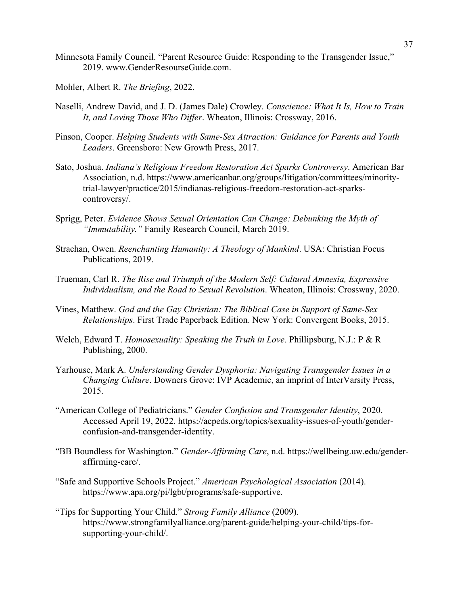Minnesota Family Council. "Parent Resource Guide: Responding to the Transgender Issue," 2019. www.GenderResourseGuide.com.

Mohler, Albert R. *The Briefing*, 2022.

- Naselli, Andrew David, and J. D. (James Dale) Crowley. *Conscience: What It Is, How to Train It, and Loving Those Who Differ*. Wheaton, Illinois: Crossway, 2016.
- Pinson, Cooper. *Helping Students with Same-Sex Attraction: Guidance for Parents and Youth Leaders*. Greensboro: New Growth Press, 2017.
- Sato, Joshua. *Indiana's Religious Freedom Restoration Act Sparks Controversy*. American Bar Association, n.d. https://www.americanbar.org/groups/litigation/committees/minoritytrial-lawyer/practice/2015/indianas-religious-freedom-restoration-act-sparkscontroversy/.
- Sprigg, Peter. *Evidence Shows Sexual Orientation Can Change: Debunking the Myth of "Immutability."* Family Research Council, March 2019.
- Strachan, Owen. *Reenchanting Humanity: A Theology of Mankind*. USA: Christian Focus Publications, 2019.
- Trueman, Carl R. *The Rise and Triumph of the Modern Self: Cultural Amnesia, Expressive Individualism, and the Road to Sexual Revolution*. Wheaton, Illinois: Crossway, 2020.
- Vines, Matthew. *God and the Gay Christian: The Biblical Case in Support of Same-Sex Relationships*. First Trade Paperback Edition. New York: Convergent Books, 2015.
- Welch, Edward T. *Homosexuality: Speaking the Truth in Love*. Phillipsburg, N.J.: P & R Publishing, 2000.
- Yarhouse, Mark A. *Understanding Gender Dysphoria: Navigating Transgender Issues in a Changing Culture*. Downers Grove: IVP Academic, an imprint of InterVarsity Press, 2015.
- "American College of Pediatricians." *Gender Confusion and Transgender Identity*, 2020. Accessed April 19, 2022. https://acpeds.org/topics/sexuality-issues-of-youth/genderconfusion-and-transgender-identity.
- "BB Boundless for Washington." *Gender-Affirming Care*, n.d. https://wellbeing.uw.edu/genderaffirming-care/.
- "Safe and Supportive Schools Project." *American Psychological Association* (2014). https://www.apa.org/pi/lgbt/programs/safe-supportive.
- "Tips for Supporting Your Child." *Strong Family Alliance* (2009). https://www.strongfamilyalliance.org/parent-guide/helping-your-child/tips-forsupporting-your-child/.